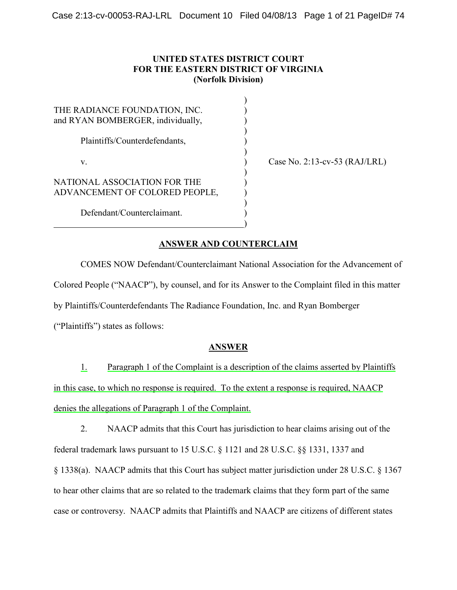# **UNITED STATES DISTRICT COURT FOR THE EASTERN DISTRICT OF VIRGINIA (Norfolk Division)**

)

)

)

)

)

)

THE RADIANCE FOUNDATION, INC. and RYAN BOMBERGER, individually,  $\qquad \qquad$  )

Plaintiffs/Counterdefendants, )

NATIONAL ASSOCIATION FOR THE ADVANCEMENT OF COLORED PEOPLE,

v. **2:13-cv-53 (RAJ/LRL)** 

Defendant/Counterclaimant. )

# **ANSWER AND COUNTERCLAIM**

COMES NOW Defendant/Counterclaimant National Association for the Advancement of Colored People ("NAACP"), by counsel, and for its Answer to the Complaint filed in this matter by Plaintiffs/Counterdefendants The Radiance Foundation, Inc. and Ryan Bomberger ("Plaintiffs") states as follows:

# **ANSWER**

1. Paragraph 1 of the Complaint is a description of the claims asserted by Plaintiffs in this case, to which no response is required. To the extent a response is required, NAACP denies the allegations of Paragraph 1 of the Complaint.

2. NAACP admits that this Court has jurisdiction to hear claims arising out of the federal trademark laws pursuant to 15 U.S.C. § 1121 and 28 U.S.C. §§ 1331, 1337 and § 1338(a). NAACP admits that this Court has subject matter jurisdiction under 28 U.S.C. § 1367 to hear other claims that are so related to the trademark claims that they form part of the same case or controversy. NAACP admits that Plaintiffs and NAACP are citizens of different states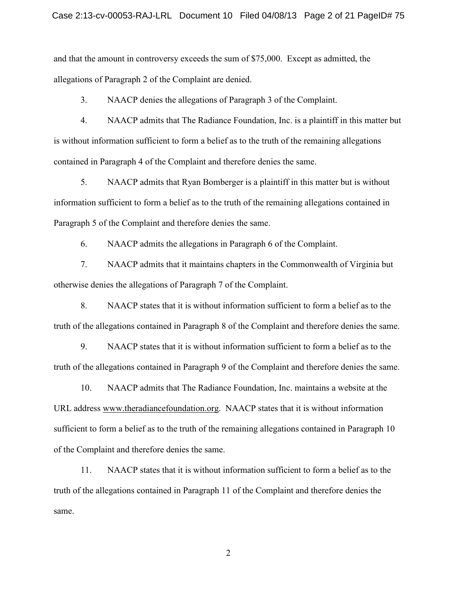and that the amount in controversy exceeds the sum of \$75,000. Except as admitted, the allegations of Paragraph 2 of the Complaint are denied.

3. NAACP denies the allegations of Paragraph 3 of the Complaint.

4. NAACP admits that The Radiance Foundation, Inc. is a plaintiff in this matter but is without information sufficient to form a belief as to the truth of the remaining allegations contained in Paragraph 4 of the Complaint and therefore denies the same.

5. NAACP admits that Ryan Bomberger is a plaintiff in this matter but is without information sufficient to form a belief as to the truth of the remaining allegations contained in Paragraph 5 of the Complaint and therefore denies the same.

6. NAACP admits the allegations in Paragraph 6 of the Complaint.

7. NAACP admits that it maintains chapters in the Commonwealth of Virginia but otherwise denies the allegations of Paragraph 7 of the Complaint.

8. NAACP states that it is without information sufficient to form a belief as to the truth of the allegations contained in Paragraph 8 of the Complaint and therefore denies the same.

9. NAACP states that it is without information sufficient to form a belief as to the truth of the allegations contained in Paragraph 9 of the Complaint and therefore denies the same.

10. NAACP admits that The Radiance Foundation, Inc. maintains a website at the URL address [www.theradiancefoundation.org.](http://www.theradiancefoundation.org/) NAACP states that it is without information sufficient to form a belief as to the truth of the remaining allegations contained in Paragraph 10 of the Complaint and therefore denies the same.

11. NAACP states that it is without information sufficient to form a belief as to the truth of the allegations contained in Paragraph 11 of the Complaint and therefore denies the same.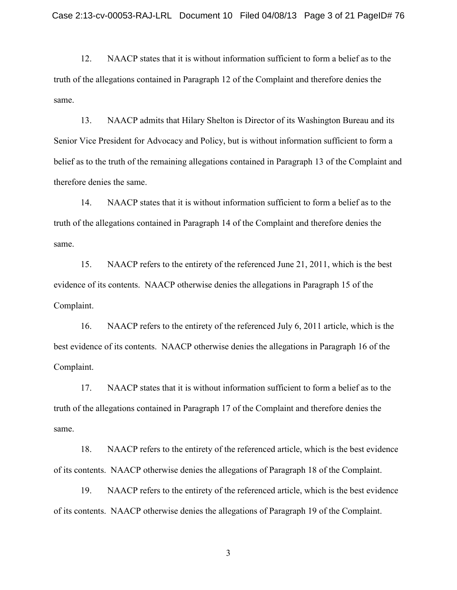12. NAACP states that it is without information sufficient to form a belief as to the truth of the allegations contained in Paragraph 12 of the Complaint and therefore denies the same.

13. NAACP admits that Hilary Shelton is Director of its Washington Bureau and its Senior Vice President for Advocacy and Policy, but is without information sufficient to form a belief as to the truth of the remaining allegations contained in Paragraph 13 of the Complaint and therefore denies the same.

14. NAACP states that it is without information sufficient to form a belief as to the truth of the allegations contained in Paragraph 14 of the Complaint and therefore denies the same.

15. NAACP refers to the entirety of the referenced June 21, 2011, which is the best evidence of its contents. NAACP otherwise denies the allegations in Paragraph 15 of the Complaint.

16. NAACP refers to the entirety of the referenced July 6, 2011 article, which is the best evidence of its contents. NAACP otherwise denies the allegations in Paragraph 16 of the Complaint.

17. NAACP states that it is without information sufficient to form a belief as to the truth of the allegations contained in Paragraph 17 of the Complaint and therefore denies the same.

18. NAACP refers to the entirety of the referenced article, which is the best evidence of its contents. NAACP otherwise denies the allegations of Paragraph 18 of the Complaint.

19. NAACP refers to the entirety of the referenced article, which is the best evidence of its contents. NAACP otherwise denies the allegations of Paragraph 19 of the Complaint.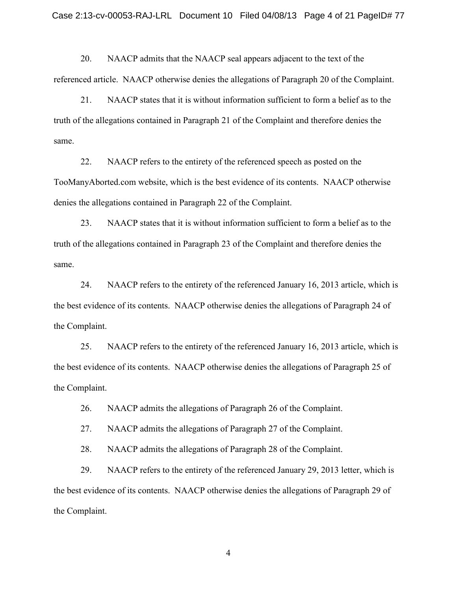20. NAACP admits that the NAACP seal appears adjacent to the text of the referenced article. NAACP otherwise denies the allegations of Paragraph 20 of the Complaint.

21. NAACP states that it is without information sufficient to form a belief as to the truth of the allegations contained in Paragraph 21 of the Complaint and therefore denies the same.

22. NAACP refers to the entirety of the referenced speech as posted on the TooManyAborted.com website, which is the best evidence of its contents. NAACP otherwise denies the allegations contained in Paragraph 22 of the Complaint.

23. NAACP states that it is without information sufficient to form a belief as to the truth of the allegations contained in Paragraph 23 of the Complaint and therefore denies the same.

24. NAACP refers to the entirety of the referenced January 16, 2013 article, which is the best evidence of its contents. NAACP otherwise denies the allegations of Paragraph 24 of the Complaint.

25. NAACP refers to the entirety of the referenced January 16, 2013 article, which is the best evidence of its contents. NAACP otherwise denies the allegations of Paragraph 25 of the Complaint.

26. NAACP admits the allegations of Paragraph 26 of the Complaint.

27. NAACP admits the allegations of Paragraph 27 of the Complaint.

28. NAACP admits the allegations of Paragraph 28 of the Complaint.

29. NAACP refers to the entirety of the referenced January 29, 2013 letter, which is the best evidence of its contents. NAACP otherwise denies the allegations of Paragraph 29 of the Complaint.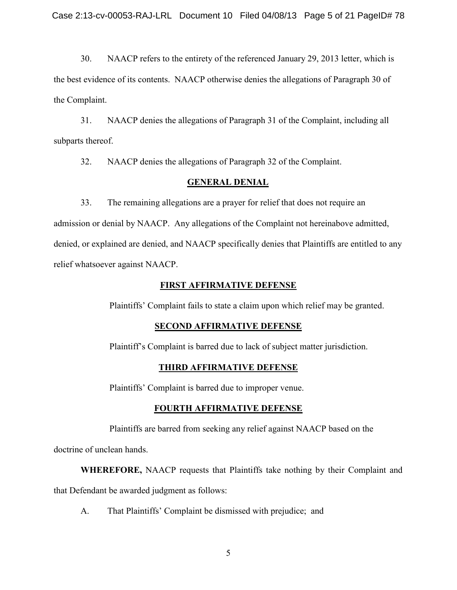30. NAACP refers to the entirety of the referenced January 29, 2013 letter, which is the best evidence of its contents. NAACP otherwise denies the allegations of Paragraph 30 of the Complaint.

31. NAACP denies the allegations of Paragraph 31 of the Complaint, including all subparts thereof.

32. NAACP denies the allegations of Paragraph 32 of the Complaint.

# **GENERAL DENIAL**

33. The remaining allegations are a prayer for relief that does not require an admission or denial by NAACP. Any allegations of the Complaint not hereinabove admitted, denied, or explained are denied, and NAACP specifically denies that Plaintiffs are entitled to any relief whatsoever against NAACP.

# **FIRST AFFIRMATIVE DEFENSE**

Plaintiffs' Complaint fails to state a claim upon which relief may be granted.

# **SECOND AFFIRMATIVE DEFENSE**

Plaintiff's Complaint is barred due to lack of subject matter jurisdiction.

# **THIRD AFFIRMATIVE DEFENSE**

Plaintiffs' Complaint is barred due to improper venue.

# **FOURTH AFFIRMATIVE DEFENSE**

Plaintiffs are barred from seeking any relief against NAACP based on the

doctrine of unclean hands.

**WHEREFORE,** NAACP requests that Plaintiffs take nothing by their Complaint and

that Defendant be awarded judgment as follows:

A. That Plaintiffs' Complaint be dismissed with prejudice; and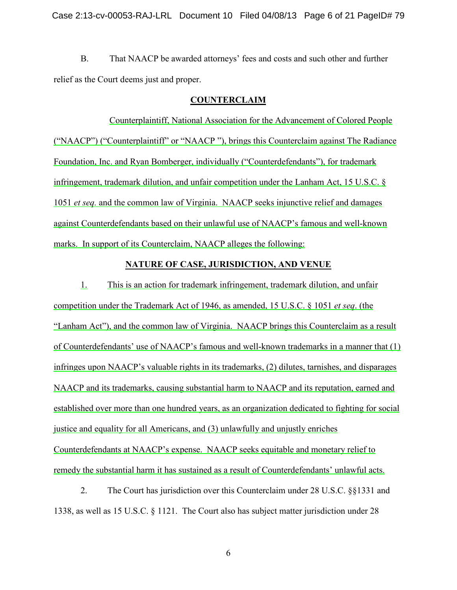B. That NAACP be awarded attorneys' fees and costs and such other and further relief as the Court deems just and proper.

# **COUNTERCLAIM**

Counterplaintiff, National Association for the Advancement of Colored People ("NAACP") ("Counterplaintiff" or "NAACP "), brings this Counterclaim against The Radiance Foundation, Inc. and Ryan Bomberger, individually ("Counterdefendants"), for trademark infringement, trademark dilution, and unfair competition under the Lanham Act, 15 U.S.C. § 1051 *et seq.* and the common law of Virginia. NAACP seeks injunctive relief and damages against Counterdefendants based on their unlawful use of NAACP's famous and well-known marks. In support of its Counterclaim, NAACP alleges the following:

#### **NATURE OF CASE, JURISDICTION, AND VENUE**

1. This is an action for trademark infringement, trademark dilution, and unfair competition under the Trademark Act of 1946, as amended, 15 U.S.C. § 1051 *et seq*. (the "Lanham Act"), and the common law of Virginia. NAACP brings this Counterclaim as a result of Counterdefendants' use of NAACP's famous and well-known trademarks in a manner that (1) infringes upon NAACP's valuable rights in its trademarks, (2) dilutes, tarnishes, and disparages NAACP and its trademarks, causing substantial harm to NAACP and its reputation, earned and established over more than one hundred years, as an organization dedicated to fighting for social justice and equality for all Americans, and (3) unlawfully and unjustly enriches Counterdefendants at NAACP's expense. NAACP seeks equitable and monetary relief to remedy the substantial harm it has sustained as a result of Counterdefendants' unlawful acts.

2. The Court has jurisdiction over this Counterclaim under 28 U.S.C. §§1331 and 1338, as well as 15 U.S.C. § 1121. The Court also has subject matter jurisdiction under 28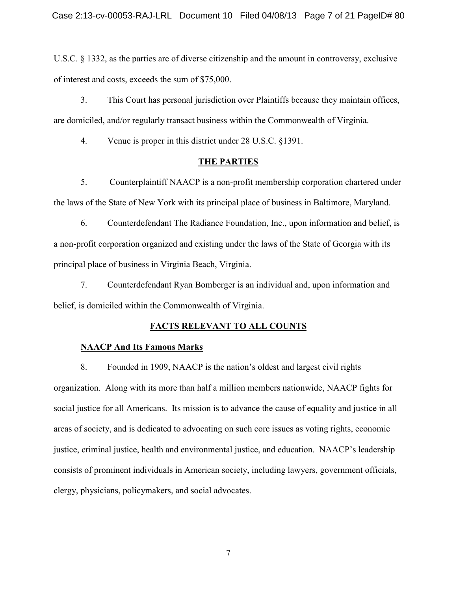U.S.C. § 1332, as the parties are of diverse citizenship and the amount in controversy, exclusive of interest and costs, exceeds the sum of \$75,000.

3. This Court has personal jurisdiction over Plaintiffs because they maintain offices, are domiciled, and/or regularly transact business within the Commonwealth of Virginia.

4. Venue is proper in this district under 28 U.S.C. §1391.

#### **THE PARTIES**

5. Counterplaintiff NAACP is a non-profit membership corporation chartered under the laws of the State of New York with its principal place of business in Baltimore, Maryland.

6. Counterdefendant The Radiance Foundation, Inc., upon information and belief, is a non-profit corporation organized and existing under the laws of the State of Georgia with its principal place of business in Virginia Beach, Virginia.

7. Counterdefendant Ryan Bomberger is an individual and, upon information and belief, is domiciled within the Commonwealth of Virginia.

# **FACTS RELEVANT TO ALL COUNTS**

#### **NAACP And Its Famous Marks**

8. Founded in 1909, NAACP is the nation's oldest and largest civil rights organization. Along with its more than half a million members nationwide, NAACP fights for social justice for all Americans. Its mission is to advance the cause of equality and justice in all areas of society, and is dedicated to advocating on such core issues as voting rights, economic justice, criminal justice, health and environmental justice, and education. NAACP's leadership consists of prominent individuals in American society, including lawyers, government officials, clergy, physicians, policymakers, and social advocates.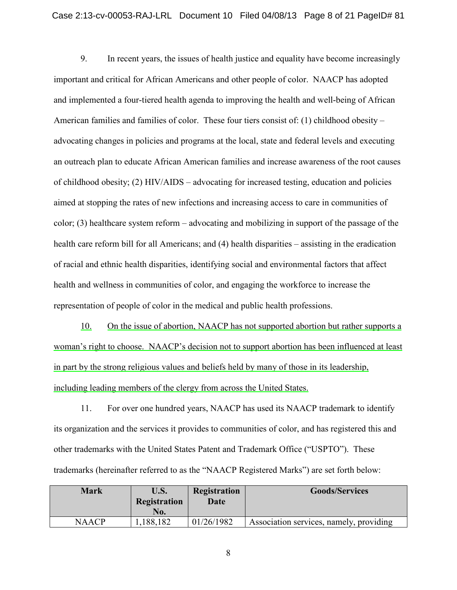9. In recent years, the issues of health justice and equality have become increasingly important and critical for African Americans and other people of color. NAACP has adopted and implemented a four-tiered health agenda to improving the health and well-being of African American families and families of color. These four tiers consist of: (1) childhood obesity – advocating changes in policies and programs at the local, state and federal levels and executing an outreach plan to educate African American families and increase awareness of the root causes of childhood obesity; (2) HIV/AIDS – advocating for increased testing, education and policies aimed at stopping the rates of new infections and increasing access to care in communities of color; (3) healthcare system reform – advocating and mobilizing in support of the passage of the health care reform bill for all Americans; and (4) health disparities – assisting in the eradication of racial and ethnic health disparities, identifying social and environmental factors that affect health and wellness in communities of color, and engaging the workforce to increase the representation of people of color in the medical and public health professions.

10. On the issue of abortion, NAACP has not supported abortion but rather supports a woman's right to choose. NAACP's decision not to support abortion has been influenced at least in part by the strong religious values and beliefs held by many of those in its leadership, including leading members of the clergy from across the United States.

11. For over one hundred years, NAACP has used its NAACP trademark to identify its organization and the services it provides to communities of color, and has registered this and other trademarks with the United States Patent and Trademark Office ("USPTO"). These trademarks (hereinafter referred to as the "NAACP Registered Marks") are set forth below:

| <b>Mark</b>  | U.S.<br>Registration<br>No. | Registration<br>Date | <b>Goods/Services</b>                   |
|--------------|-----------------------------|----------------------|-----------------------------------------|
| <b>NAACP</b> | 188,182                     | 01/26/1982           | Association services, namely, providing |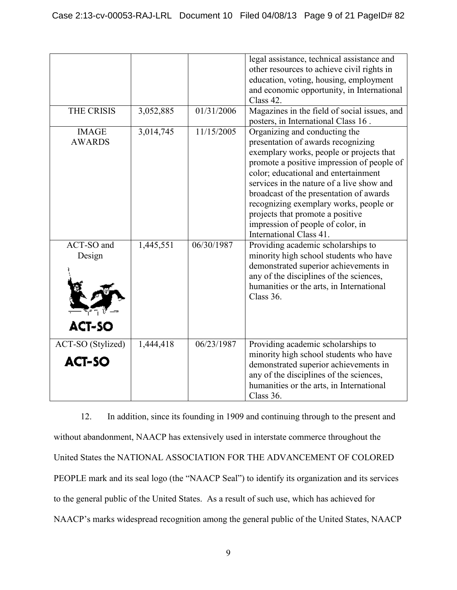|                                       |           |            | legal assistance, technical assistance and<br>other resources to achieve civil rights in<br>education, voting, housing, employment<br>and economic opportunity, in International<br>Class 42.                                                                                                                                                                                                                                               |
|---------------------------------------|-----------|------------|---------------------------------------------------------------------------------------------------------------------------------------------------------------------------------------------------------------------------------------------------------------------------------------------------------------------------------------------------------------------------------------------------------------------------------------------|
| THE CRISIS                            | 3,052,885 | 01/31/2006 | Magazines in the field of social issues, and<br>posters, in International Class 16.                                                                                                                                                                                                                                                                                                                                                         |
| <b>IMAGE</b><br><b>AWARDS</b>         | 3,014,745 | 11/15/2005 | Organizing and conducting the<br>presentation of awards recognizing<br>exemplary works, people or projects that<br>promote a positive impression of people of<br>color; educational and entertainment<br>services in the nature of a live show and<br>broadcast of the presentation of awards<br>recognizing exemplary works, people or<br>projects that promote a positive<br>impression of people of color, in<br>International Class 41. |
| ACT-SO and<br>Design<br><b>ACT-SO</b> | 1,445,551 | 06/30/1987 | Providing academic scholarships to<br>minority high school students who have<br>demonstrated superior achievements in<br>any of the disciplines of the sciences,<br>humanities or the arts, in International<br>Class 36.                                                                                                                                                                                                                   |
| ACT-SO (Stylized)<br><b>ACT-SO</b>    | 1,444,418 | 06/23/1987 | Providing academic scholarships to<br>minority high school students who have<br>demonstrated superior achievements in<br>any of the disciplines of the sciences,<br>humanities or the arts, in International<br>Class 36.                                                                                                                                                                                                                   |

12. In addition, since its founding in 1909 and continuing through to the present and without abandonment, NAACP has extensively used in interstate commerce throughout the United States the NATIONAL ASSOCIATION FOR THE ADVANCEMENT OF COLORED PEOPLE mark and its seal logo (the "NAACP Seal") to identify its organization and its services to the general public of the United States. As a result of such use, which has achieved for NAACP's marks widespread recognition among the general public of the United States, NAACP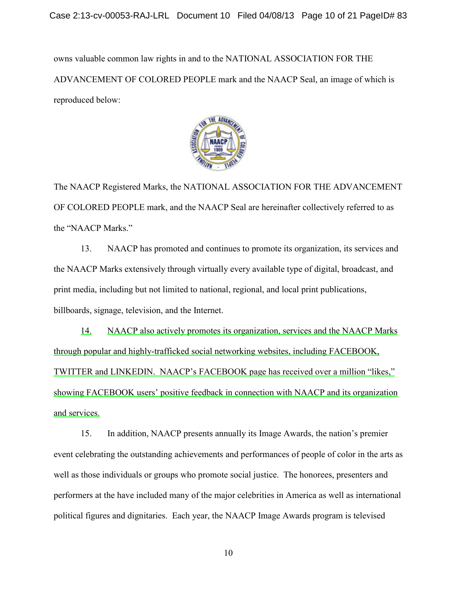owns valuable common law rights in and to the NATIONAL ASSOCIATION FOR THE ADVANCEMENT OF COLORED PEOPLE mark and the NAACP Seal, an image of which is reproduced below:



The NAACP Registered Marks, the NATIONAL ASSOCIATION FOR THE ADVANCEMENT OF COLORED PEOPLE mark, and the NAACP Seal are hereinafter collectively referred to as the "NAACP Marks."

13. NAACP has promoted and continues to promote its organization, its services and the NAACP Marks extensively through virtually every available type of digital, broadcast, and print media, including but not limited to national, regional, and local print publications, billboards, signage, television, and the Internet.

14. NAACP also actively promotes its organization, services and the NAACP Marks through popular and highly-trafficked social networking websites, including FACEBOOK, TWITTER and LINKEDIN. NAACP's FACEBOOK page has received over a million "likes," showing FACEBOOK users' positive feedback in connection with NAACP and its organization and services.

15. In addition, NAACP presents annually its Image Awards, the nation's premier event celebrating the outstanding achievements and performances of people of color in the arts as well as those individuals or groups who promote social justice. The honorees, presenters and performers at the have included many of the major celebrities in America as well as international political figures and dignitaries. Each year, the NAACP Image Awards program is televised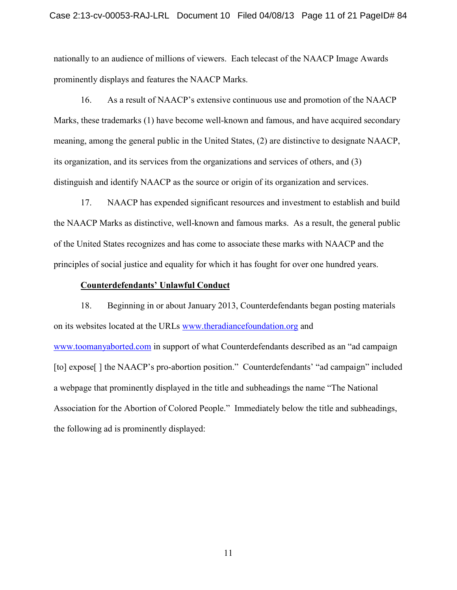nationally to an audience of millions of viewers. Each telecast of the NAACP Image Awards prominently displays and features the NAACP Marks.

16. As a result of NAACP's extensive continuous use and promotion of the NAACP Marks, these trademarks (1) have become well-known and famous, and have acquired secondary meaning, among the general public in the United States, (2) are distinctive to designate NAACP, its organization, and its services from the organizations and services of others, and (3) distinguish and identify NAACP as the source or origin of its organization and services.

17. NAACP has expended significant resources and investment to establish and build the NAACP Marks as distinctive, well-known and famous marks. As a result, the general public of the United States recognizes and has come to associate these marks with NAACP and the principles of social justice and equality for which it has fought for over one hundred years.

#### **Counterdefendants' Unlawful Conduct**

18. Beginning in or about January 2013, Counterdefendants began posting materials on its websites located at the URLs [www.theradiancefoundation.org](http://www.theradiancefoundation.org/) and

[www.toomanyaborted.com](http://www.toomanyaborted.com/) in support of what Counterdefendants described as an "ad campaign [to] expose] 1 the NAACP's pro-abortion position." Counterdefendants' "ad campaign" included a webpage that prominently displayed in the title and subheadings the name "The National Association for the Abortion of Colored People." Immediately below the title and subheadings, the following ad is prominently displayed: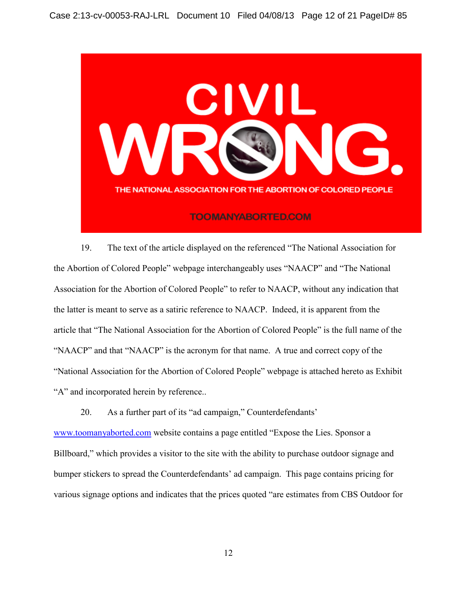

19. The text of the article displayed on the referenced "The National Association for the Abortion of Colored People" webpage interchangeably uses "NAACP" and "The National Association for the Abortion of Colored People" to refer to NAACP, without any indication that the latter is meant to serve as a satiric reference to NAACP. Indeed, it is apparent from the article that "The National Association for the Abortion of Colored People" is the full name of the "NAACP" and that "NAACP" is the acronym for that name. A true and correct copy of the "National Association for the Abortion of Colored People" webpage is attached hereto as Exhibit "A" and incorporated herein by reference..

20. As a further part of its "ad campaign," Counterdefendants' [www.toomanyaborted.com](http://www.toomanyaborted.com/) website contains a page entitled "Expose the Lies. Sponsor a Billboard," which provides a visitor to the site with the ability to purchase outdoor signage and bumper stickers to spread the Counterdefendants' ad campaign. This page contains pricing for various signage options and indicates that the prices quoted "are estimates from CBS Outdoor for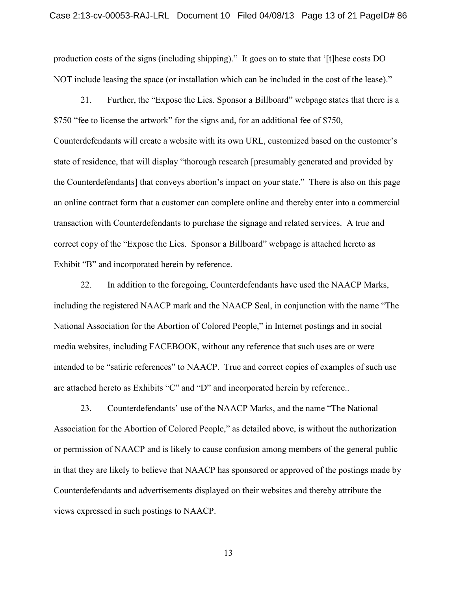production costs of the signs (including shipping)." It goes on to state that '[t]hese costs DO NOT include leasing the space (or installation which can be included in the cost of the lease)."

21. Further, the "Expose the Lies. Sponsor a Billboard" webpage states that there is a \$750 "fee to license the artwork" for the signs and, for an additional fee of \$750, Counterdefendants will create a website with its own URL, customized based on the customer's state of residence, that will display "thorough research [presumably generated and provided by the Counterdefendants] that conveys abortion's impact on your state." There is also on this page an online contract form that a customer can complete online and thereby enter into a commercial transaction with Counterdefendants to purchase the signage and related services. A true and correct copy of the "Expose the Lies. Sponsor a Billboard" webpage is attached hereto as Exhibit "B" and incorporated herein by reference.

22. In addition to the foregoing, Counterdefendants have used the NAACP Marks, including the registered NAACP mark and the NAACP Seal, in conjunction with the name "The National Association for the Abortion of Colored People," in Internet postings and in social media websites, including FACEBOOK, without any reference that such uses are or were intended to be "satiric references" to NAACP. True and correct copies of examples of such use are attached hereto as Exhibits "C" and "D" and incorporated herein by reference..

23. Counterdefendants' use of the NAACP Marks, and the name "The National Association for the Abortion of Colored People," as detailed above, is without the authorization or permission of NAACP and is likely to cause confusion among members of the general public in that they are likely to believe that NAACP has sponsored or approved of the postings made by Counterdefendants and advertisements displayed on their websites and thereby attribute the views expressed in such postings to NAACP.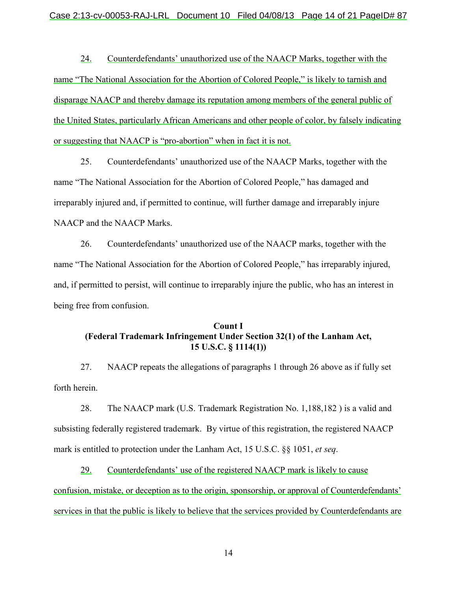#### Case 2:13-cv-00053-RAJ-LRL Document 10 Filed 04/08/13 Page 14 of 21 PageID# 87

24. Counterdefendants' unauthorized use of the NAACP Marks, together with the name "The National Association for the Abortion of Colored People," is likely to tarnish and disparage NAACP and thereby damage its reputation among members of the general public of the United States, particularly African Americans and other people of color, by falsely indicating or suggesting that NAACP is "pro-abortion" when in fact it is not.

25. Counterdefendants' unauthorized use of the NAACP Marks, together with the name "The National Association for the Abortion of Colored People," has damaged and irreparably injured and, if permitted to continue, will further damage and irreparably injure NAACP and the NAACP Marks.

26. Counterdefendants' unauthorized use of the NAACP marks, together with the name "The National Association for the Abortion of Colored People," has irreparably injured, and, if permitted to persist, will continue to irreparably injure the public, who has an interest in being free from confusion.

### **Count I (Federal Trademark Infringement Under Section 32(1) of the Lanham Act, 15 U.S.C. § 1114(1))**

27. NAACP repeats the allegations of paragraphs 1 through 26 above as if fully set forth herein.

28. The NAACP mark (U.S. Trademark Registration No. 1,188,182 ) is a valid and subsisting federally registered trademark. By virtue of this registration, the registered NAACP mark is entitled to protection under the Lanham Act, 15 U.S.C. §§ 1051, *et seq*.

29. Counterdefendants' use of the registered NAACP mark is likely to cause confusion, mistake, or deception as to the origin, sponsorship, or approval of Counterdefendants' services in that the public is likely to believe that the services provided by Counterdefendants are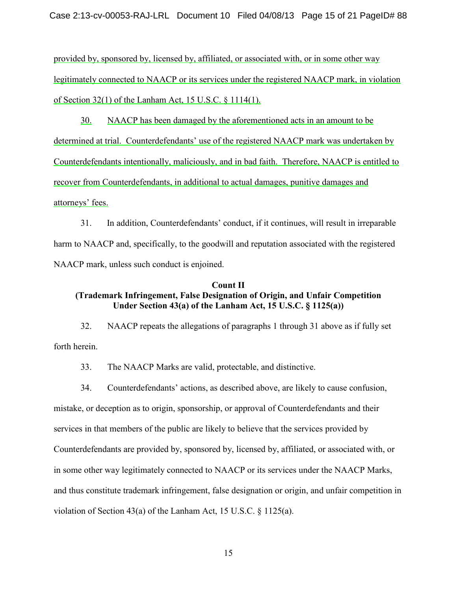provided by, sponsored by, licensed by, affiliated, or associated with, or in some other way legitimately connected to NAACP or its services under the registered NAACP mark, in violation of Section 32(1) of the Lanham Act, 15 U.S.C. § 1114(1).

30. NAACP has been damaged by the aforementioned acts in an amount to be determined at trial. Counterdefendants' use of the registered NAACP mark was undertaken by Counterdefendants intentionally, maliciously, and in bad faith. Therefore, NAACP is entitled to recover from Counterdefendants, in additional to actual damages, punitive damages and attorneys' fees.

31. In addition, Counterdefendants' conduct, if it continues, will result in irreparable harm to NAACP and, specifically, to the goodwill and reputation associated with the registered NAACP mark, unless such conduct is enjoined.

## **Count II (Trademark Infringement, False Designation of Origin, and Unfair Competition Under Section 43(a) of the Lanham Act, 15 U.S.C. § 1125(a))**

32. NAACP repeats the allegations of paragraphs 1 through 31 above as if fully set forth herein.

33. The NAACP Marks are valid, protectable, and distinctive.

34. Counterdefendants' actions, as described above, are likely to cause confusion, mistake, or deception as to origin, sponsorship, or approval of Counterdefendants and their services in that members of the public are likely to believe that the services provided by Counterdefendants are provided by, sponsored by, licensed by, affiliated, or associated with, or in some other way legitimately connected to NAACP or its services under the NAACP Marks, and thus constitute trademark infringement, false designation or origin, and unfair competition in violation of Section 43(a) of the Lanham Act, 15 U.S.C. § 1125(a).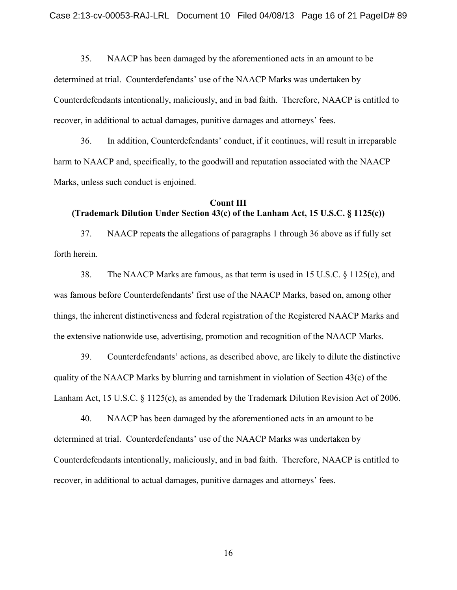35. NAACP has been damaged by the aforementioned acts in an amount to be determined at trial. Counterdefendants' use of the NAACP Marks was undertaken by Counterdefendants intentionally, maliciously, and in bad faith. Therefore, NAACP is entitled to recover, in additional to actual damages, punitive damages and attorneys' fees.

36. In addition, Counterdefendants' conduct, if it continues, will result in irreparable harm to NAACP and, specifically, to the goodwill and reputation associated with the NAACP Marks, unless such conduct is enjoined.

# **Count III (Trademark Dilution Under Section 43(c) of the Lanham Act, 15 U.S.C. § 1125(c))**

37. NAACP repeats the allegations of paragraphs 1 through 36 above as if fully set forth herein.

38. The NAACP Marks are famous, as that term is used in 15 U.S.C. § 1125(c), and was famous before Counterdefendants' first use of the NAACP Marks, based on, among other things, the inherent distinctiveness and federal registration of the Registered NAACP Marks and the extensive nationwide use, advertising, promotion and recognition of the NAACP Marks.

39. Counterdefendants' actions, as described above, are likely to dilute the distinctive quality of the NAACP Marks by blurring and tarnishment in violation of Section 43(c) of the Lanham Act, 15 U.S.C. § 1125(c), as amended by the Trademark Dilution Revision Act of 2006.

40. NAACP has been damaged by the aforementioned acts in an amount to be determined at trial. Counterdefendants' use of the NAACP Marks was undertaken by Counterdefendants intentionally, maliciously, and in bad faith. Therefore, NAACP is entitled to recover, in additional to actual damages, punitive damages and attorneys' fees.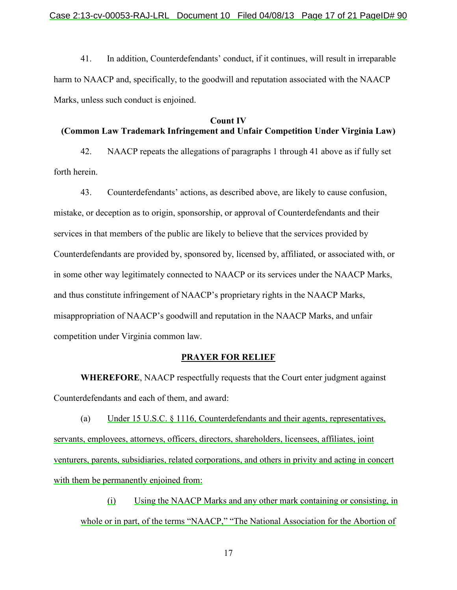41. In addition, Counterdefendants' conduct, if it continues, will result in irreparable harm to NAACP and, specifically, to the goodwill and reputation associated with the NAACP Marks, unless such conduct is enjoined.

#### **Count IV**

## **(Common Law Trademark Infringement and Unfair Competition Under Virginia Law)**

42. NAACP repeats the allegations of paragraphs 1 through 41 above as if fully set forth herein.

43. Counterdefendants' actions, as described above, are likely to cause confusion, mistake, or deception as to origin, sponsorship, or approval of Counterdefendants and their services in that members of the public are likely to believe that the services provided by Counterdefendants are provided by, sponsored by, licensed by, affiliated, or associated with, or in some other way legitimately connected to NAACP or its services under the NAACP Marks, and thus constitute infringement of NAACP's proprietary rights in the NAACP Marks, misappropriation of NAACP's goodwill and reputation in the NAACP Marks, and unfair competition under Virginia common law.

#### **PRAYER FOR RELIEF**

**WHEREFORE**, NAACP respectfully requests that the Court enter judgment against Counterdefendants and each of them, and award:

(a) Under 15 U.S.C. § 1116, Counterdefendants and their agents, representatives, servants, employees, attorneys, officers, directors, shareholders, licensees, affiliates, joint venturers, parents, subsidiaries, related corporations, and others in privity and acting in concert with them be permanently enjoined from:

(i) Using the NAACP Marks and any other mark containing or consisting, in whole or in part, of the terms "NAACP," "The National Association for the Abortion of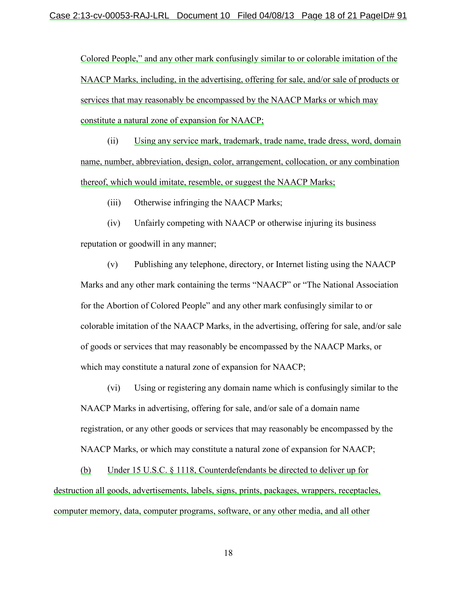Colored People," and any other mark confusingly similar to or colorable imitation of the NAACP Marks, including, in the advertising, offering for sale, and/or sale of products or services that may reasonably be encompassed by the NAACP Marks or which may constitute a natural zone of expansion for NAACP;

(ii) Using any service mark, trademark, trade name, trade dress, word, domain name, number, abbreviation, design, color, arrangement, collocation, or any combination thereof, which would imitate, resemble, or suggest the NAACP Marks;

(iii) Otherwise infringing the NAACP Marks;

(iv) Unfairly competing with NAACP or otherwise injuring its business reputation or goodwill in any manner;

(v) Publishing any telephone, directory, or Internet listing using the NAACP Marks and any other mark containing the terms "NAACP" or "The National Association for the Abortion of Colored People" and any other mark confusingly similar to or colorable imitation of the NAACP Marks, in the advertising, offering for sale, and/or sale of goods or services that may reasonably be encompassed by the NAACP Marks, or which may constitute a natural zone of expansion for NAACP;

(vi) Using or registering any domain name which is confusingly similar to the NAACP Marks in advertising, offering for sale, and/or sale of a domain name registration, or any other goods or services that may reasonably be encompassed by the NAACP Marks, or which may constitute a natural zone of expansion for NAACP;

(b) Under 15 U.S.C. § 1118, Counterdefendants be directed to deliver up for destruction all goods, advertisements, labels, signs, prints, packages, wrappers, receptacles, computer memory, data, computer programs, software, or any other media, and all other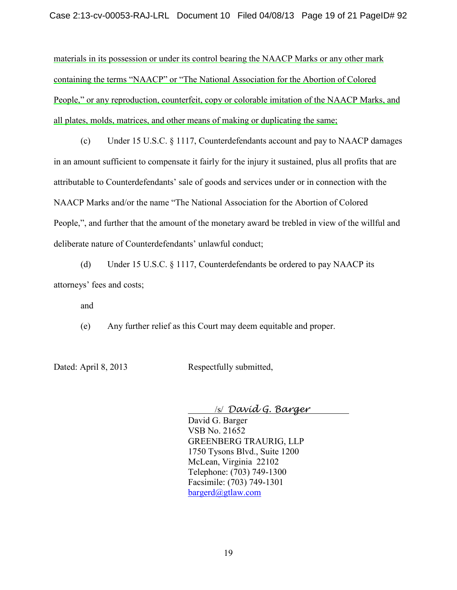materials in its possession or under its control bearing the NAACP Marks or any other mark containing the terms "NAACP" or "The National Association for the Abortion of Colored People," or any reproduction, counterfeit, copy or colorable imitation of the NAACP Marks, and all plates, molds, matrices, and other means of making or duplicating the same;

(c) Under 15 U.S.C. § 1117, Counterdefendants account and pay to NAACP damages in an amount sufficient to compensate it fairly for the injury it sustained, plus all profits that are attributable to Counterdefendants' sale of goods and services under or in connection with the NAACP Marks and/or the name "The National Association for the Abortion of Colored People,", and further that the amount of the monetary award be trebled in view of the willful and deliberate nature of Counterdefendants' unlawful conduct;

(d) Under 15 U.S.C. § 1117, Counterdefendants be ordered to pay NAACP its attorneys' fees and costs;

and

(e) Any further relief as this Court may deem equitable and proper.

Dated: April 8, 2013 Respectfully submitted,

/s/ *David G. Barger*

David G. Barger VSB No. 21652 GREENBERG TRAURIG, LLP 1750 Tysons Blvd., Suite 1200 McLean, Virginia 22102 Telephone: (703) 749-1300 Facsimile: (703) 749-1301 [bargerd@gtlaw.com](mailto:bargerd@gtlaw.com)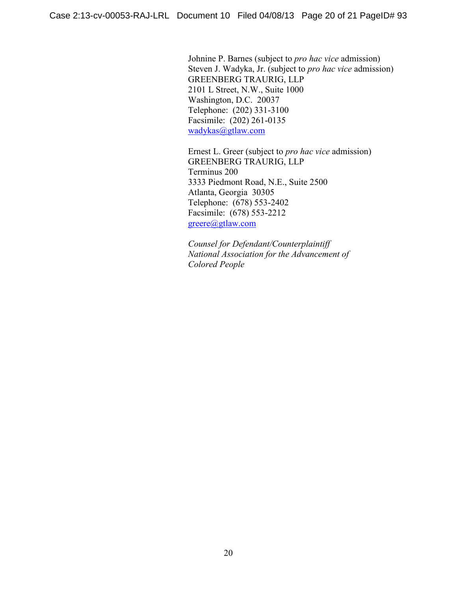Johnine P. Barnes (subject to *pro hac vice* admission) Steven J. Wadyka, Jr. (subject to *pro hac vice* admission) GREENBERG TRAURIG, LLP 2101 L Street, N.W., Suite 1000 Washington, D.C. 20037 Telephone: (202) 331-3100 Facsimile: (202) 261-0135 [wadykas@gtlaw.com](mailto:wadykas@gtlaw.com)

Ernest L. Greer (subject to *pro hac vice* admission) GREENBERG TRAURIG, LLP Terminus 200 3333 Piedmont Road, N.E., Suite 2500 Atlanta, Georgia 30305 Telephone: (678) 553-2402 Facsimile: (678) 553-2212 [greere@gtlaw.com](mailto:greere@gtlaw.com)

*Counsel for Defendant/Counterplaintiff National Association for the Advancement of Colored People*